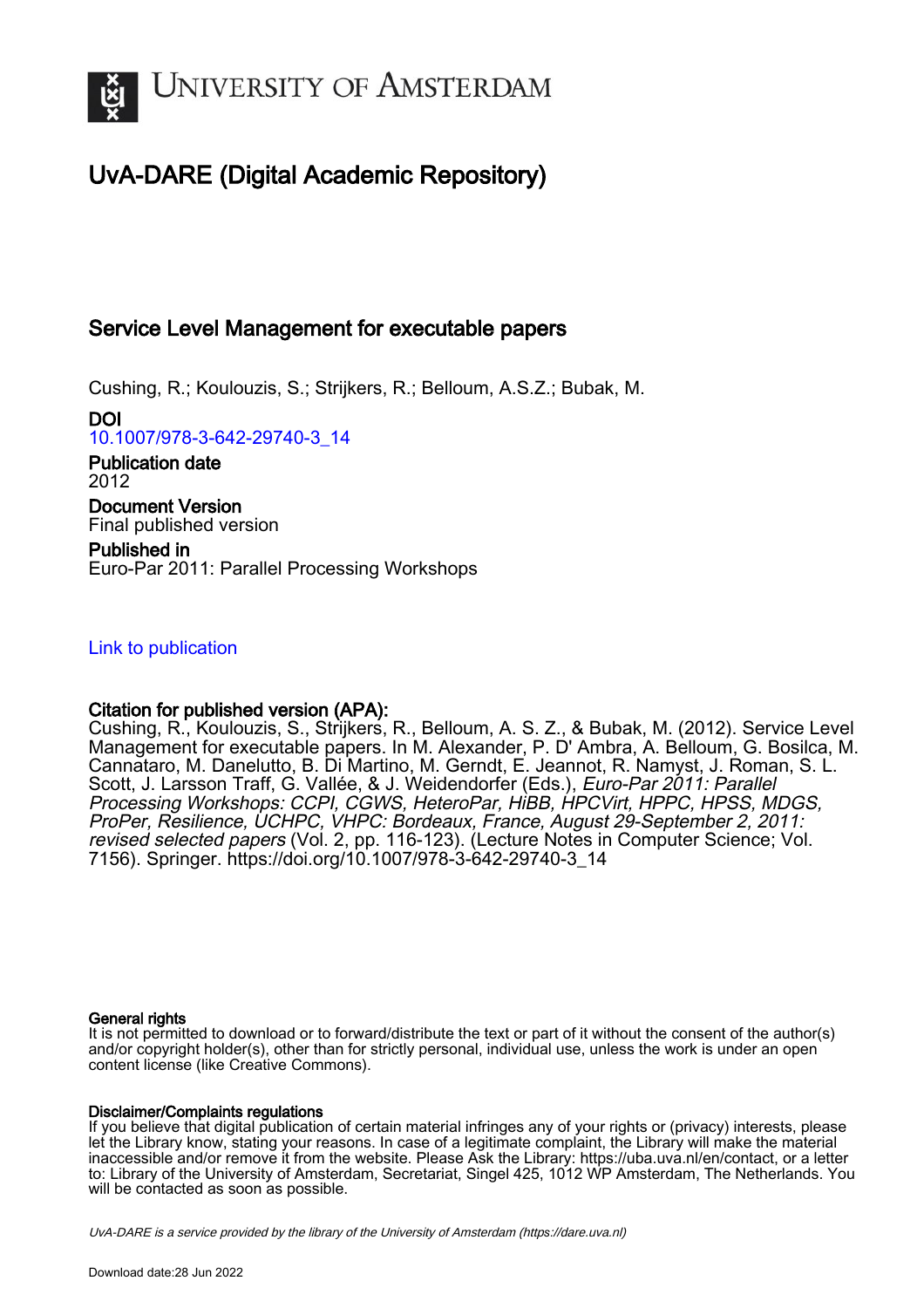

# UvA-DARE (Digital Academic Repository)

## Service Level Management for executable papers

Cushing, R.; Koulouzis, S.; Strijkers, R.; Belloum, A.S.Z.; Bubak, M.

DOI [10.1007/978-3-642-29740-3\\_14](https://doi.org/10.1007/978-3-642-29740-3_14)

Publication date 2012 Document Version Final published version

Published in Euro-Par 2011: Parallel Processing Workshops

## [Link to publication](https://dare.uva.nl/personal/pure/en/publications/service-level-management-for-executable-papers(8a08bba8-0467-4803-80e3-97e22ab9e9d8).html)

### Citation for published version (APA):

Cushing, R., Koulouzis, S., Strijkers, R., Belloum, A. S. Z., & Bubak, M. (2012). Service Level Management for executable papers. In M. Alexander, P. D' Ambra, A. Belloum, G. Bosilca, M. Cannataro, M. Danelutto, B. Di Martino, M. Gerndt, E. Jeannot, R. Namyst, J. Roman, S. L. Scott, J. Larsson Traff, G. Vallée, & J. Weidendorfer (Eds.), *Euro-Par 2011: Parallel* Processing Workshops: CCPI, CGWS, HeteroPar, HiBB, HPCVirt, HPPC, HPSS, MDGS, ProPer, Resilience, UCHPC, VHPC: Bordeaux, France, August 29-September 2, 2011: revised selected papers (Vol. 2, pp. 116-123). (Lecture Notes in Computer Science; Vol. 7156). Springer. [https://doi.org/10.1007/978-3-642-29740-3\\_14](https://doi.org/10.1007/978-3-642-29740-3_14)

#### General rights

It is not permitted to download or to forward/distribute the text or part of it without the consent of the author(s) and/or copyright holder(s), other than for strictly personal, individual use, unless the work is under an open content license (like Creative Commons).

#### Disclaimer/Complaints regulations

If you believe that digital publication of certain material infringes any of your rights or (privacy) interests, please let the Library know, stating your reasons. In case of a legitimate complaint, the Library will make the material inaccessible and/or remove it from the website. Please Ask the Library: https://uba.uva.nl/en/contact, or a letter to: Library of the University of Amsterdam, Secretariat, Singel 425, 1012 WP Amsterdam, The Netherlands. You will be contacted as soon as possible.

UvA-DARE is a service provided by the library of the University of Amsterdam (http*s*://dare.uva.nl)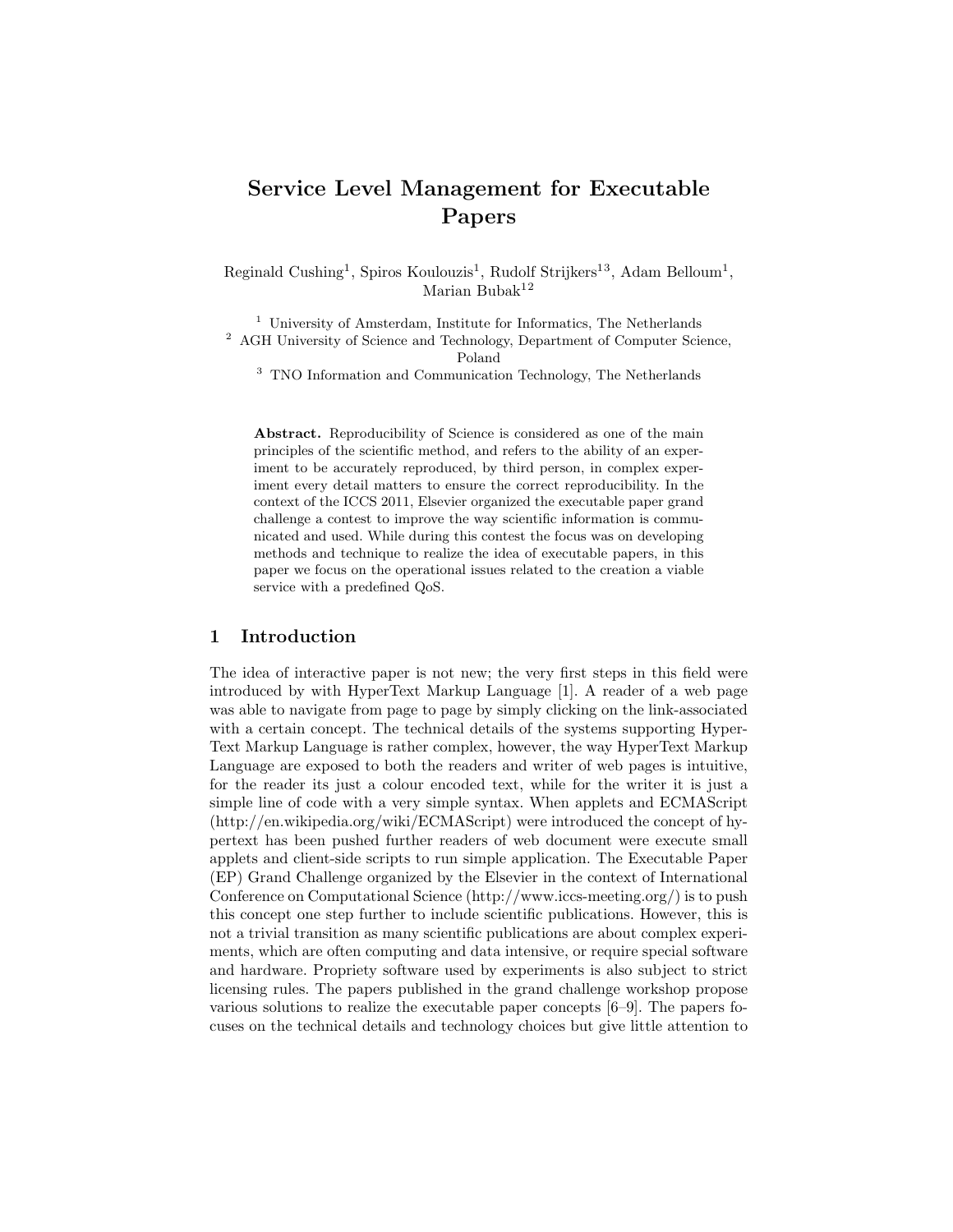## Service Level Management for Executable Papers

Reginald Cushing<sup>1</sup>, Spiros Koulouzis<sup>1</sup>, Rudolf Strijkers<sup>13</sup>, Adam Belloum<sup>1</sup>, Marian Bubak<sup>12</sup>

 $1$  University of Amsterdam, Institute for Informatics, The Netherlands <sup>2</sup> AGH University of Science and Technology, Department of Computer Science, Poland

<sup>3</sup> TNO Information and Communication Technology, The Netherlands

Abstract. Reproducibility of Science is considered as one of the main principles of the scientific method, and refers to the ability of an experiment to be accurately reproduced, by third person, in complex experiment every detail matters to ensure the correct reproducibility. In the context of the ICCS 2011, Elsevier organized the executable paper grand challenge a contest to improve the way scientific information is communicated and used. While during this contest the focus was on developing methods and technique to realize the idea of executable papers, in this paper we focus on the operational issues related to the creation a viable service with a predefined QoS.

#### 1 Introduction

The idea of interactive paper is not new; the very first steps in this field were introduced by with HyperText Markup Language [1]. A reader of a web page was able to navigate from page to page by simply clicking on the link-associated with a certain concept. The technical details of the systems supporting Hyper-Text Markup Language is rather complex, however, the way HyperText Markup Language are exposed to both the readers and writer of web pages is intuitive, for the reader its just a colour encoded text, while for the writer it is just a simple line of code with a very simple syntax. When applets and ECMAScript (http://en.wikipedia.org/wiki/ECMAScript) were introduced the concept of hypertext has been pushed further readers of web document were execute small applets and client-side scripts to run simple application. The Executable Paper (EP) Grand Challenge organized by the Elsevier in the context of International Conference on Computational Science (http://www.iccs-meeting.org/) is to push this concept one step further to include scientific publications. However, this is not a trivial transition as many scientific publications are about complex experiments, which are often computing and data intensive, or require special software and hardware. Propriety software used by experiments is also subject to strict licensing rules. The papers published in the grand challenge workshop propose various solutions to realize the executable paper concepts [6–9]. The papers focuses on the technical details and technology choices but give little attention to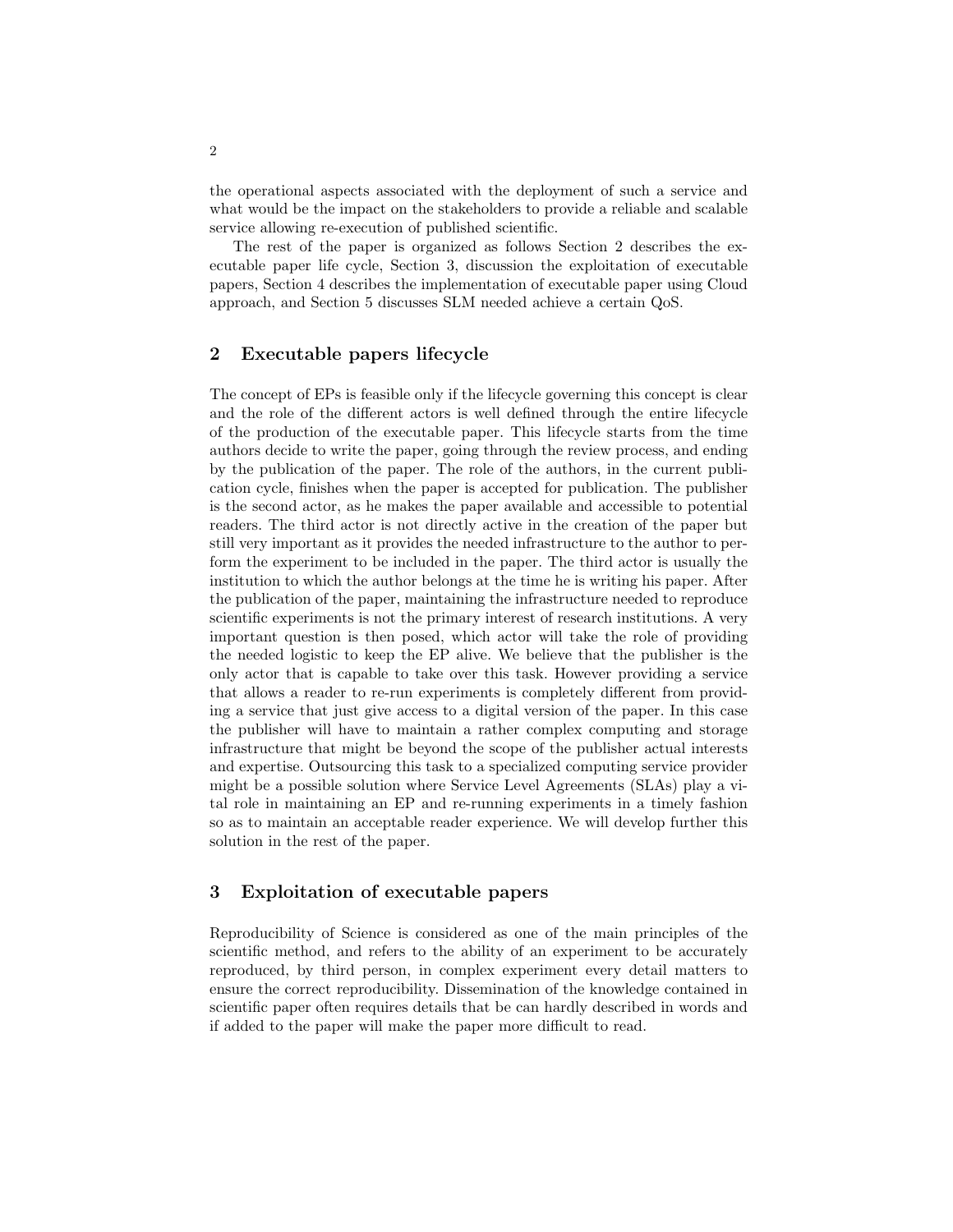the operational aspects associated with the deployment of such a service and what would be the impact on the stakeholders to provide a reliable and scalable service allowing re-execution of published scientific.

The rest of the paper is organized as follows Section 2 describes the executable paper life cycle, Section 3, discussion the exploitation of executable papers, Section 4 describes the implementation of executable paper using Cloud approach, and Section 5 discusses SLM needed achieve a certain QoS.

#### 2 Executable papers lifecycle

The concept of EPs is feasible only if the lifecycle governing this concept is clear and the role of the different actors is well defined through the entire lifecycle of the production of the executable paper. This lifecycle starts from the time authors decide to write the paper, going through the review process, and ending by the publication of the paper. The role of the authors, in the current publication cycle, finishes when the paper is accepted for publication. The publisher is the second actor, as he makes the paper available and accessible to potential readers. The third actor is not directly active in the creation of the paper but still very important as it provides the needed infrastructure to the author to perform the experiment to be included in the paper. The third actor is usually the institution to which the author belongs at the time he is writing his paper. After the publication of the paper, maintaining the infrastructure needed to reproduce scientific experiments is not the primary interest of research institutions. A very important question is then posed, which actor will take the role of providing the needed logistic to keep the EP alive. We believe that the publisher is the only actor that is capable to take over this task. However providing a service that allows a reader to re-run experiments is completely different from providing a service that just give access to a digital version of the paper. In this case the publisher will have to maintain a rather complex computing and storage infrastructure that might be beyond the scope of the publisher actual interests and expertise. Outsourcing this task to a specialized computing service provider might be a possible solution where Service Level Agreements (SLAs) play a vital role in maintaining an EP and re-running experiments in a timely fashion so as to maintain an acceptable reader experience. We will develop further this solution in the rest of the paper.

#### 3 Exploitation of executable papers

Reproducibility of Science is considered as one of the main principles of the scientific method, and refers to the ability of an experiment to be accurately reproduced, by third person, in complex experiment every detail matters to ensure the correct reproducibility. Dissemination of the knowledge contained in scientific paper often requires details that be can hardly described in words and if added to the paper will make the paper more difficult to read.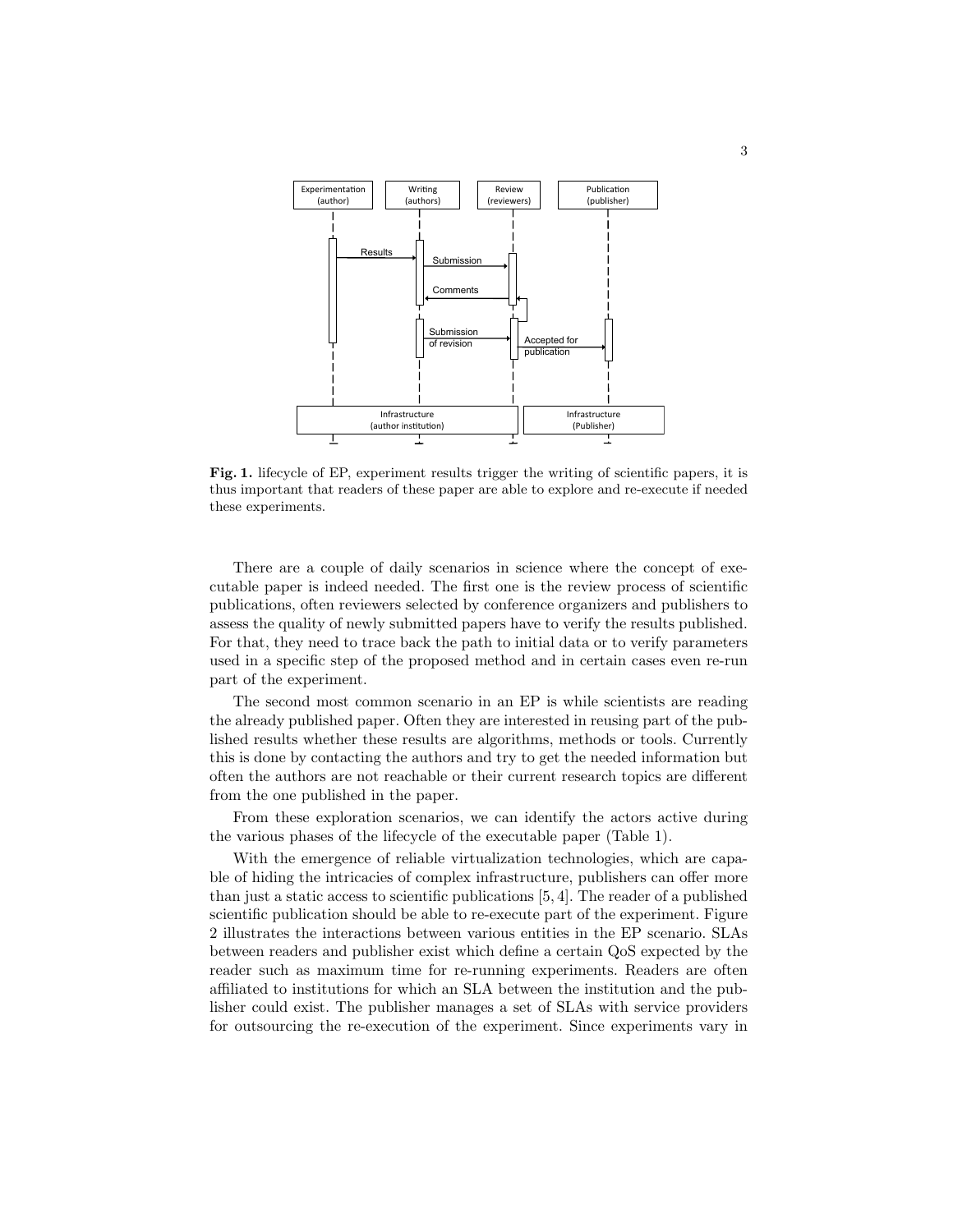

Fig. 1. lifecycle of EP, experiment results trigger the writing of scientific papers, it is thus important that readers of these paper are able to explore and re-execute if needed these experiments.

There are a couple of daily scenarios in science where the concept of executable paper is indeed needed. The first one is the review process of scientific publications, often reviewers selected by conference organizers and publishers to assess the quality of newly submitted papers have to verify the results published. For that, they need to trace back the path to initial data or to verify parameters used in a specific step of the proposed method and in certain cases even re-run part of the experiment.

The second most common scenario in an EP is while scientists are reading the already published paper. Often they are interested in reusing part of the published results whether these results are algorithms, methods or tools. Currently this is done by contacting the authors and try to get the needed information but often the authors are not reachable or their current research topics are different from the one published in the paper.

From these exploration scenarios, we can identify the actors active during the various phases of the lifecycle of the executable paper (Table 1).

With the emergence of reliable virtualization technologies, which are capable of hiding the intricacies of complex infrastructure, publishers can offer more than just a static access to scientific publications [5, 4]. The reader of a published scientific publication should be able to re-execute part of the experiment. Figure 2 illustrates the interactions between various entities in the EP scenario. SLAs between readers and publisher exist which define a certain QoS expected by the reader such as maximum time for re-running experiments. Readers are often affiliated to institutions for which an SLA between the institution and the publisher could exist. The publisher manages a set of SLAs with service providers for outsourcing the re-execution of the experiment. Since experiments vary in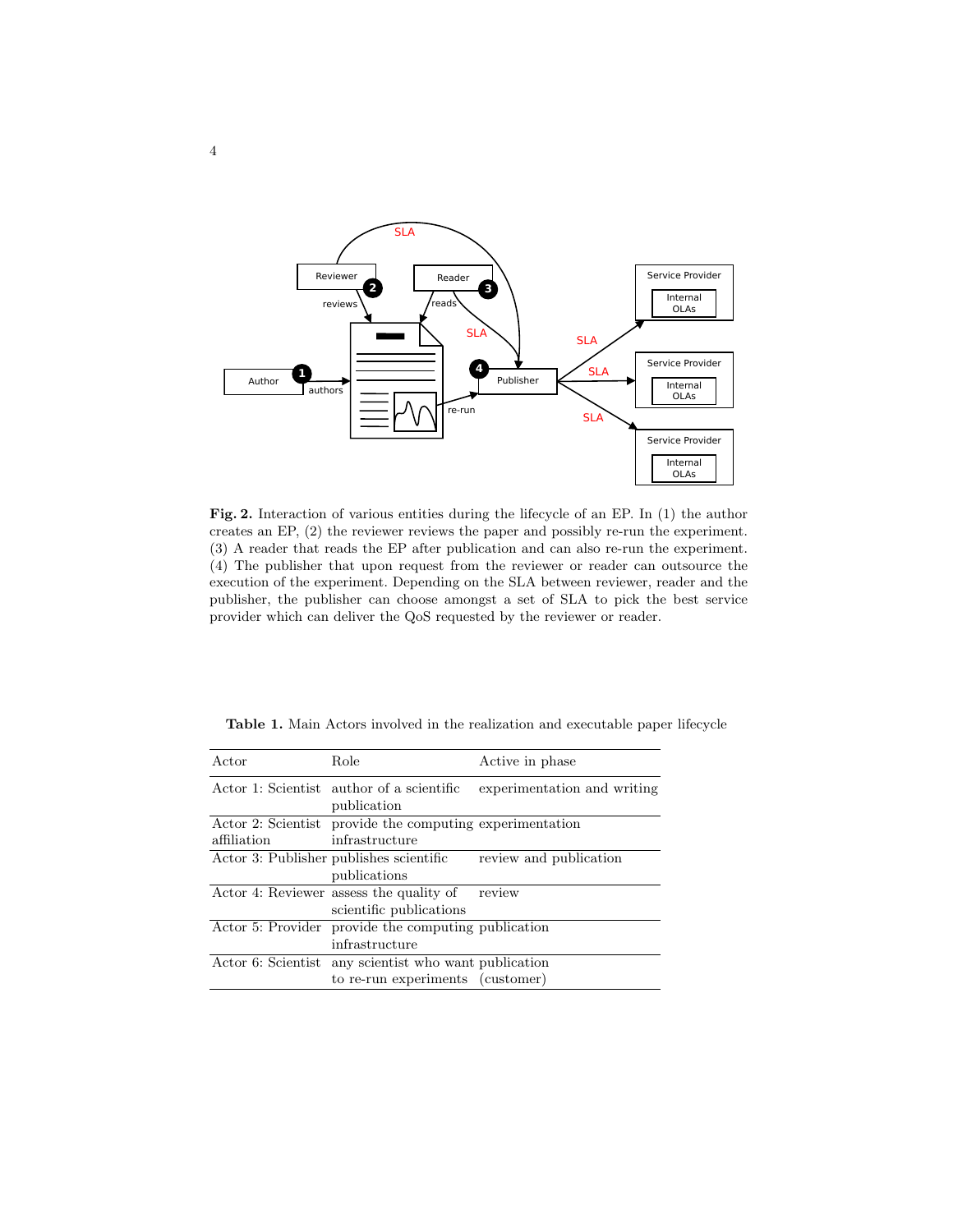

Fig. 2. Interaction of various entities during the lifecycle of an EP. In (1) the author creates an EP, (2) the reviewer reviews the paper and possibly re-run the experiment. (3) A reader that reads the EP after publication and can also re-run the experiment. (4) The publisher that upon request from the reviewer or reader can outsource the execution of the experiment. Depending on the SLA between reviewer, reader and the publisher, the publisher can choose amongst a set of SLA to pick the best service provider which can deliver the QoS requested by the reviewer or reader.

| <b>Table 1.</b> Main Actors involved in the realization and executable paper lifecycle |
|----------------------------------------------------------------------------------------|
|----------------------------------------------------------------------------------------|

| Actor              | Role                                                     | Active in phase             |
|--------------------|----------------------------------------------------------|-----------------------------|
|                    | Actor 1: Scientist author of a scientific<br>publication | experimentation and writing |
| Actor 2: Scientist | provide the computing experimentation                    |                             |
| affiliation        | infrastructure                                           |                             |
|                    | Actor 3: Publisher publishes scientific                  | review and publication      |
|                    | publications                                             |                             |
|                    | Actor 4: Reviewer assess the quality of                  | review                      |
|                    | scientific publications                                  |                             |
|                    | Actor 5: Provider provide the computing publication      |                             |
|                    | infrastructure                                           |                             |
| Actor 6: Scientist | any scientist who want publication                       |                             |
|                    | to re-run experiments (customer)                         |                             |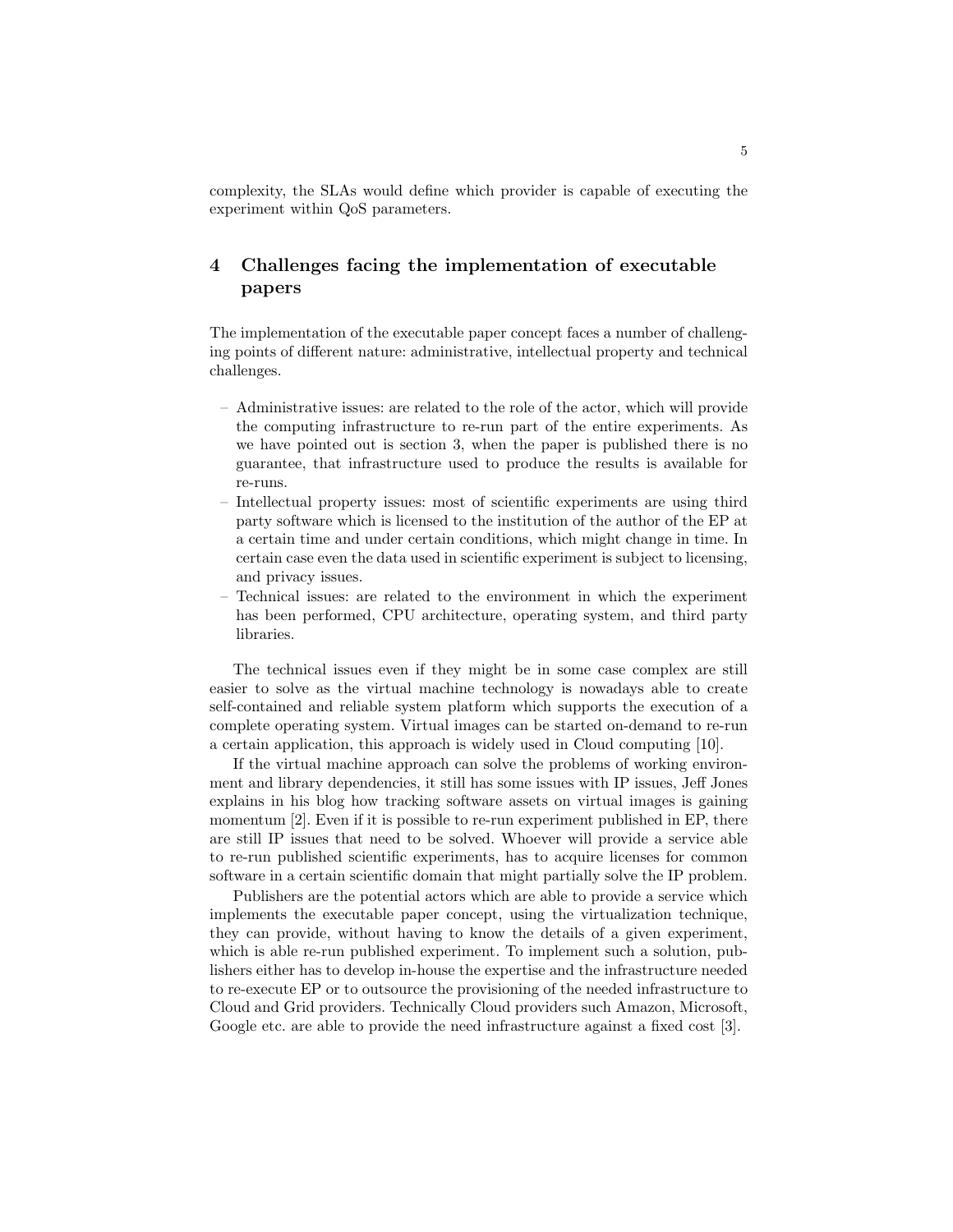complexity, the SLAs would define which provider is capable of executing the experiment within QoS parameters.

### 4 Challenges facing the implementation of executable papers

The implementation of the executable paper concept faces a number of challenging points of different nature: administrative, intellectual property and technical challenges.

- Administrative issues: are related to the role of the actor, which will provide the computing infrastructure to re-run part of the entire experiments. As we have pointed out is section 3, when the paper is published there is no guarantee, that infrastructure used to produce the results is available for re-runs.
- Intellectual property issues: most of scientific experiments are using third party software which is licensed to the institution of the author of the EP at a certain time and under certain conditions, which might change in time. In certain case even the data used in scientific experiment is subject to licensing, and privacy issues.
- Technical issues: are related to the environment in which the experiment has been performed, CPU architecture, operating system, and third party libraries.

The technical issues even if they might be in some case complex are still easier to solve as the virtual machine technology is nowadays able to create self-contained and reliable system platform which supports the execution of a complete operating system. Virtual images can be started on-demand to re-run a certain application, this approach is widely used in Cloud computing [10].

If the virtual machine approach can solve the problems of working environment and library dependencies, it still has some issues with IP issues, Jeff Jones explains in his blog how tracking software assets on virtual images is gaining momentum [2]. Even if it is possible to re-run experiment published in EP, there are still IP issues that need to be solved. Whoever will provide a service able to re-run published scientific experiments, has to acquire licenses for common software in a certain scientific domain that might partially solve the IP problem.

Publishers are the potential actors which are able to provide a service which implements the executable paper concept, using the virtualization technique, they can provide, without having to know the details of a given experiment, which is able re-run published experiment. To implement such a solution, publishers either has to develop in-house the expertise and the infrastructure needed to re-execute EP or to outsource the provisioning of the needed infrastructure to Cloud and Grid providers. Technically Cloud providers such Amazon, Microsoft, Google etc. are able to provide the need infrastructure against a fixed cost [3].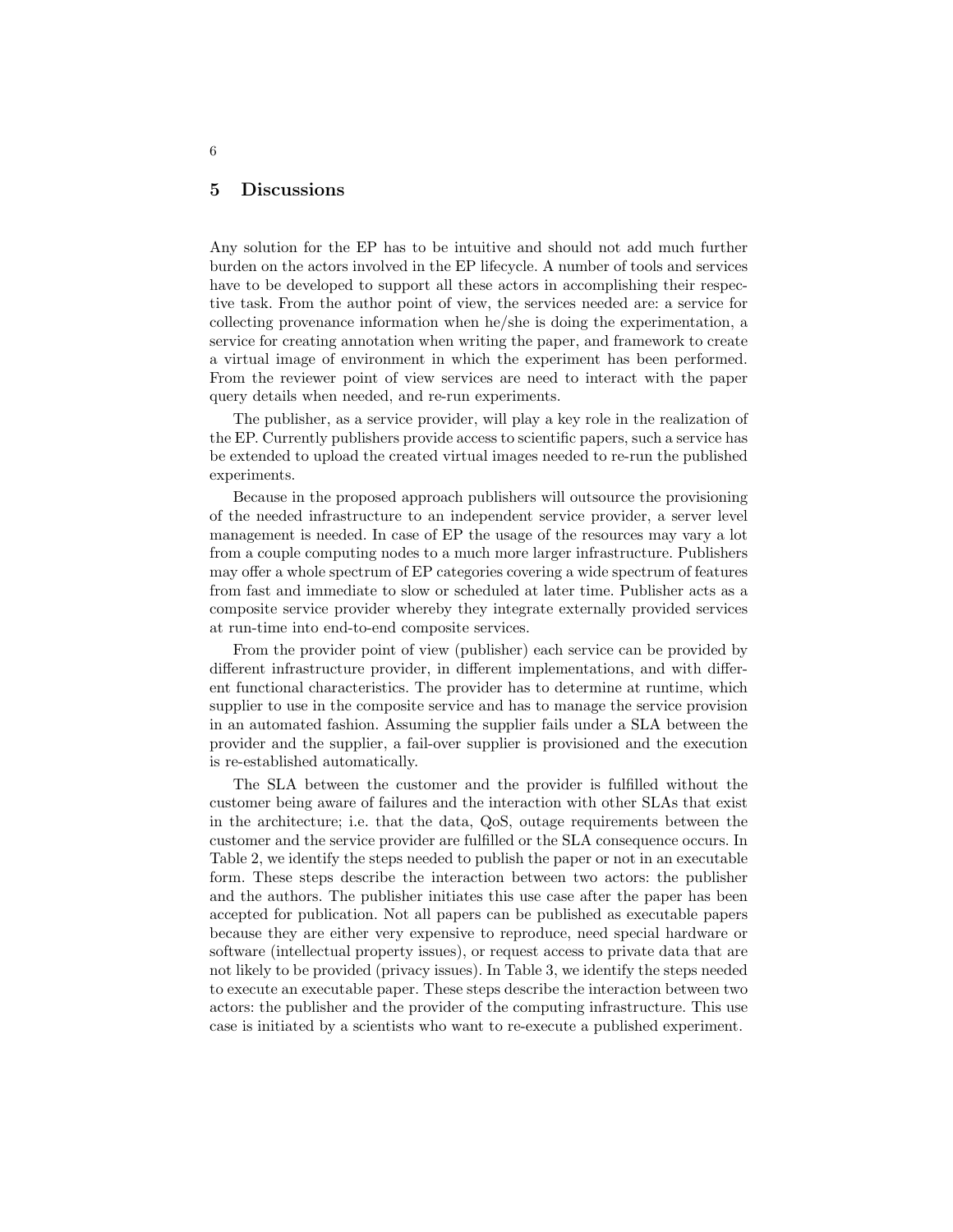#### 5 Discussions

Any solution for the EP has to be intuitive and should not add much further burden on the actors involved in the EP lifecycle. A number of tools and services have to be developed to support all these actors in accomplishing their respective task. From the author point of view, the services needed are: a service for collecting provenance information when he/she is doing the experimentation, a service for creating annotation when writing the paper, and framework to create a virtual image of environment in which the experiment has been performed. From the reviewer point of view services are need to interact with the paper query details when needed, and re-run experiments.

The publisher, as a service provider, will play a key role in the realization of the EP. Currently publishers provide access to scientific papers, such a service has be extended to upload the created virtual images needed to re-run the published experiments.

Because in the proposed approach publishers will outsource the provisioning of the needed infrastructure to an independent service provider, a server level management is needed. In case of EP the usage of the resources may vary a lot from a couple computing nodes to a much more larger infrastructure. Publishers may offer a whole spectrum of EP categories covering a wide spectrum of features from fast and immediate to slow or scheduled at later time. Publisher acts as a composite service provider whereby they integrate externally provided services at run-time into end-to-end composite services.

From the provider point of view (publisher) each service can be provided by different infrastructure provider, in different implementations, and with different functional characteristics. The provider has to determine at runtime, which supplier to use in the composite service and has to manage the service provision in an automated fashion. Assuming the supplier fails under a SLA between the provider and the supplier, a fail-over supplier is provisioned and the execution is re-established automatically.

The SLA between the customer and the provider is fulfilled without the customer being aware of failures and the interaction with other SLAs that exist in the architecture; i.e. that the data, QoS, outage requirements between the customer and the service provider are fulfilled or the SLA consequence occurs. In Table 2, we identify the steps needed to publish the paper or not in an executable form. These steps describe the interaction between two actors: the publisher and the authors. The publisher initiates this use case after the paper has been accepted for publication. Not all papers can be published as executable papers because they are either very expensive to reproduce, need special hardware or software (intellectual property issues), or request access to private data that are not likely to be provided (privacy issues). In Table 3, we identify the steps needed to execute an executable paper. These steps describe the interaction between two actors: the publisher and the provider of the computing infrastructure. This use case is initiated by a scientists who want to re-execute a published experiment.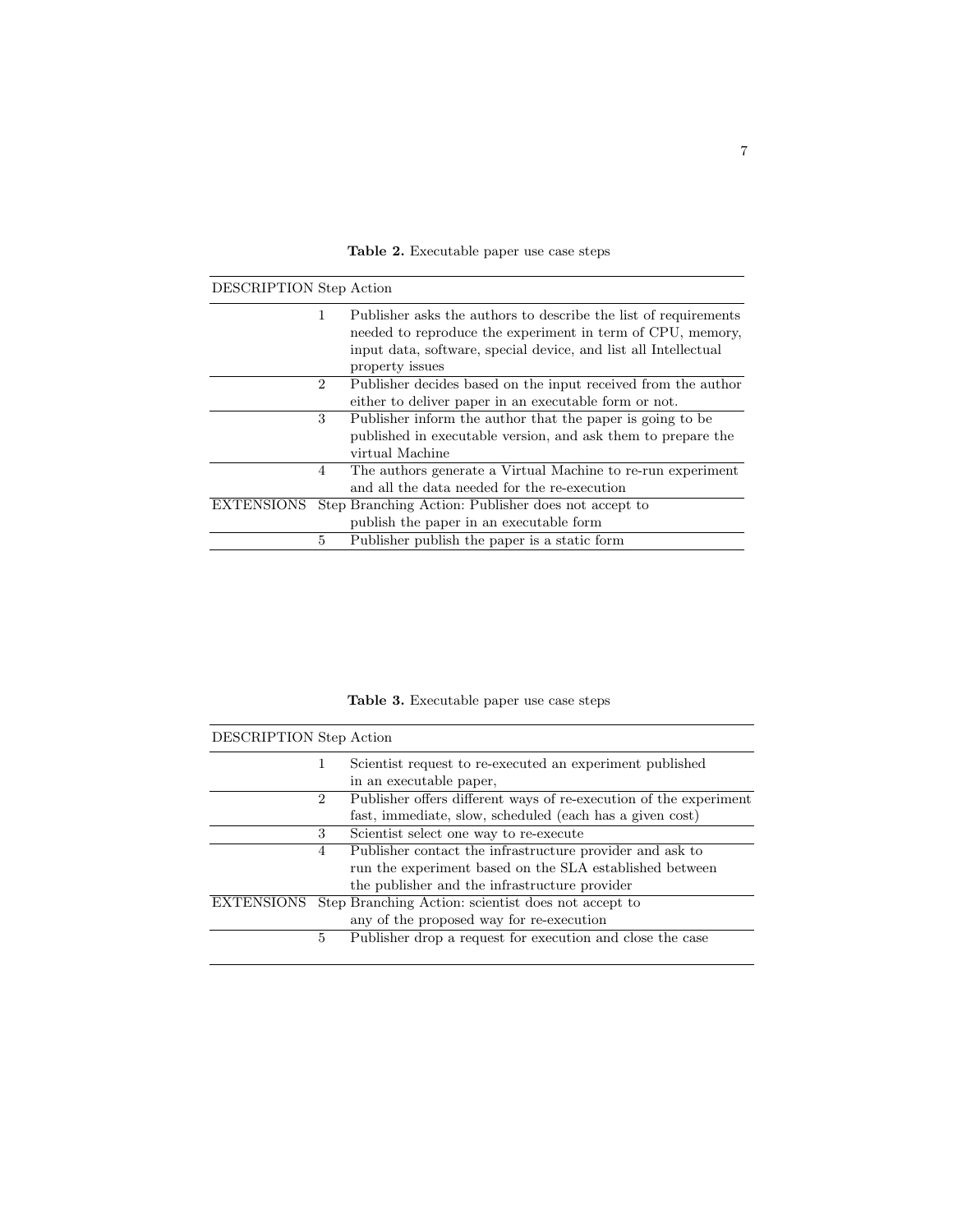Table 2. Executable paper use case steps

| DESCRIPTION Step Action |                             |                                                                                                                               |
|-------------------------|-----------------------------|-------------------------------------------------------------------------------------------------------------------------------|
|                         | 1.                          | Publisher asks the authors to describe the list of requirements<br>needed to reproduce the experiment in term of CPU, memory, |
|                         |                             | input data, software, special device, and list all Intellectual                                                               |
|                         |                             | property issues                                                                                                               |
|                         | $\mathcal{D}_{\mathcal{L}}$ | Publisher decides based on the input received from the author                                                                 |
|                         |                             | either to deliver paper in an executable form or not.                                                                         |
|                         | 3                           | Publisher inform the author that the paper is going to be                                                                     |
|                         |                             | published in executable version, and ask them to prepare the                                                                  |
|                         |                             | virtual Machine                                                                                                               |
|                         | 4                           | The authors generate a Virtual Machine to re-run experiment                                                                   |
|                         |                             | and all the data needed for the re-execution                                                                                  |
| <b>EXTENSIONS</b>       |                             | Step Branching Action: Publisher does not accept to                                                                           |
|                         |                             | publish the paper in an executable form                                                                                       |
|                         | 5                           | Publisher publish the paper is a static form                                                                                  |

Table 3. Executable paper use case steps

| DESCRIPTION Step Action |                |                                                                   |  |  |
|-------------------------|----------------|-------------------------------------------------------------------|--|--|
|                         | 1              | Scientist request to re-executed an experiment published          |  |  |
|                         |                | in an executable paper,                                           |  |  |
|                         | $\overline{2}$ | Publisher offers different ways of re-execution of the experiment |  |  |
|                         |                | fast, immediate, slow, scheduled (each has a given cost)          |  |  |
|                         | 3              | Scientist select one way to re-execute                            |  |  |
|                         | 4              | Publisher contact the infrastructure provider and ask to          |  |  |
|                         |                | run the experiment based on the SLA established between           |  |  |
|                         |                | the publisher and the infrastructure provider                     |  |  |
| <b>EXTENSIONS</b>       |                | Step Branching Action: scientist does not accept to               |  |  |
|                         |                | any of the proposed way for re-execution                          |  |  |
|                         | 5              | Publisher drop a request for execution and close the case         |  |  |
|                         |                |                                                                   |  |  |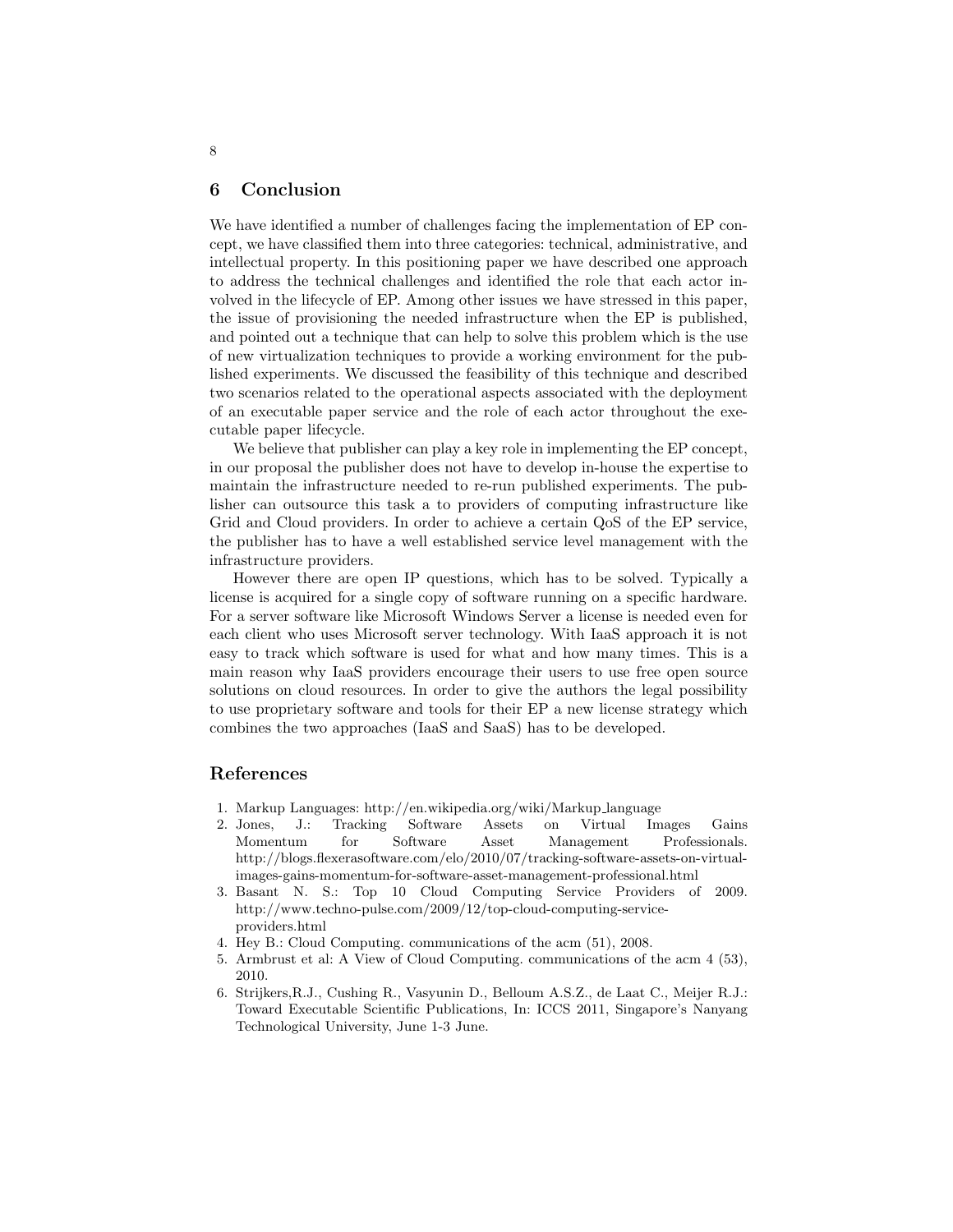#### 6 Conclusion

We have identified a number of challenges facing the implementation of EP concept, we have classified them into three categories: technical, administrative, and intellectual property. In this positioning paper we have described one approach to address the technical challenges and identified the role that each actor involved in the lifecycle of EP. Among other issues we have stressed in this paper, the issue of provisioning the needed infrastructure when the EP is published, and pointed out a technique that can help to solve this problem which is the use of new virtualization techniques to provide a working environment for the published experiments. We discussed the feasibility of this technique and described two scenarios related to the operational aspects associated with the deployment of an executable paper service and the role of each actor throughout the executable paper lifecycle.

We believe that publisher can play a key role in implementing the EP concept, in our proposal the publisher does not have to develop in-house the expertise to maintain the infrastructure needed to re-run published experiments. The publisher can outsource this task a to providers of computing infrastructure like Grid and Cloud providers. In order to achieve a certain QoS of the EP service, the publisher has to have a well established service level management with the infrastructure providers.

However there are open IP questions, which has to be solved. Typically a license is acquired for a single copy of software running on a specific hardware. For a server software like Microsoft Windows Server a license is needed even for each client who uses Microsoft server technology. With IaaS approach it is not easy to track which software is used for what and how many times. This is a main reason why IaaS providers encourage their users to use free open source solutions on cloud resources. In order to give the authors the legal possibility to use proprietary software and tools for their EP a new license strategy which combines the two approaches (IaaS and SaaS) has to be developed.

#### References

- 1. Markup Languages: http://en.wikipedia.org/wiki/Markup language
- 2. Jones, J.: Tracking Software Assets on Virtual Images Gains Momentum for Software Asset Management Professionals. http://blogs.flexerasoftware.com/elo/2010/07/tracking-software-assets-on-virtualimages-gains-momentum-for-software-asset-management-professional.html
- 3. Basant N. S.: Top 10 Cloud Computing Service Providers of 2009. http://www.techno-pulse.com/2009/12/top-cloud-computing-serviceproviders.html
- 4. Hey B.: Cloud Computing. communications of the acm (51), 2008.
- 5. Armbrust et al: A View of Cloud Computing. communications of the acm 4 (53), 2010.
- 6. Strijkers,R.J., Cushing R., Vasyunin D., Belloum A.S.Z., de Laat C., Meijer R.J.: Toward Executable Scientific Publications, In: ICCS 2011, Singapore's Nanyang Technological University, June 1-3 June.

8